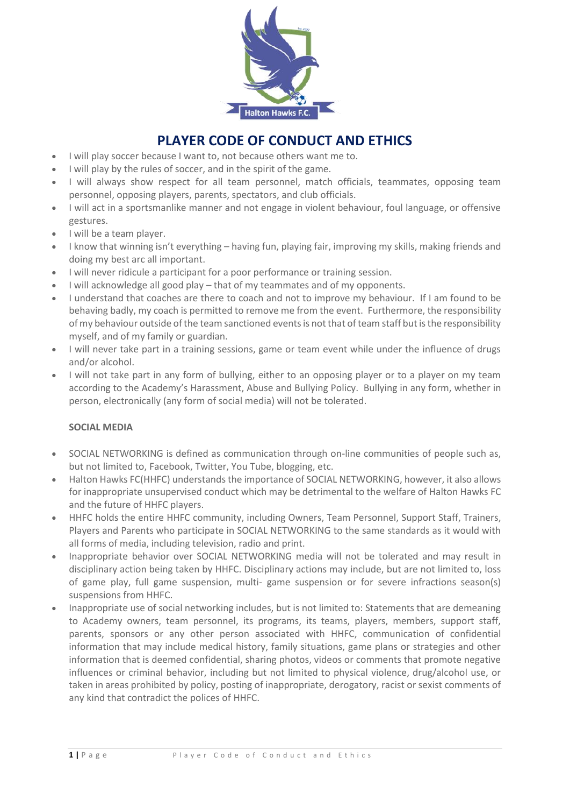

# **PLAYER CODE OF CONDUCT AND ETHICS**

- I will play soccer because I want to, not because others want me to.
- I will play by the rules of soccer, and in the spirit of the game.
- I will always show respect for all team personnel, match officials, teammates, opposing team personnel, opposing players, parents, spectators, and club officials.
- I will act in a sportsmanlike manner and not engage in violent behaviour, foul language, or offensive gestures.
- I will be a team player.
- I know that winning isn't everything having fun, playing fair, improving my skills, making friends and doing my best arc all important.
- I will never ridicule a participant for a poor performance or training session.
- I will acknowledge all good play that of my teammates and of my opponents.
- I understand that coaches are there to coach and not to improve my behaviour. If I am found to be behaving badly, my coach is permitted to remove me from the event. Furthermore, the responsibility of my behaviour outside of the team sanctioned events is not that of team staff but is the responsibility myself, and of my family or guardian.
- I will never take part in a training sessions, game or team event while under the influence of drugs and/or alcohol.
- I will not take part in any form of bullying, either to an opposing player or to a player on my team according to the Academy's Harassment, Abuse and Bullying Policy. Bullying in any form, whether in person, electronically (any form of social media) will not be tolerated.

# **SOCIAL MEDIA**

- SOCIAL NETWORKING is defined as communication through on-line communities of people such as, but not limited to, Facebook, Twitter, You Tube, blogging, etc.
- Halton Hawks FC(HHFC) understands the importance of SOCIAL NETWORKING, however, it also allows for inappropriate unsupervised conduct which may be detrimental to the welfare of Halton Hawks FC and the future of HHFC players.
- HHFC holds the entire HHFC community, including Owners, Team Personnel, Support Staff, Trainers, Players and Parents who participate in SOCIAL NETWORKING to the same standards as it would with all forms of media, including television, radio and print.
- Inappropriate behavior over SOCIAL NETWORKING media will not be tolerated and may result in disciplinary action being taken by HHFC. Disciplinary actions may include, but are not limited to, loss of game play, full game suspension, multi- game suspension or for severe infractions season(s) suspensions from HHFC.
- Inappropriate use of social networking includes, but is not limited to: Statements that are demeaning to Academy owners, team personnel, its programs, its teams, players, members, support staff, parents, sponsors or any other person associated with HHFC, communication of confidential information that may include medical history, family situations, game plans or strategies and other information that is deemed confidential, sharing photos, videos or comments that promote negative influences or criminal behavior, including but not limited to physical violence, drug/alcohol use, or taken in areas prohibited by policy, posting of inappropriate, derogatory, racist or sexist comments of any kind that contradict the polices of HHFC.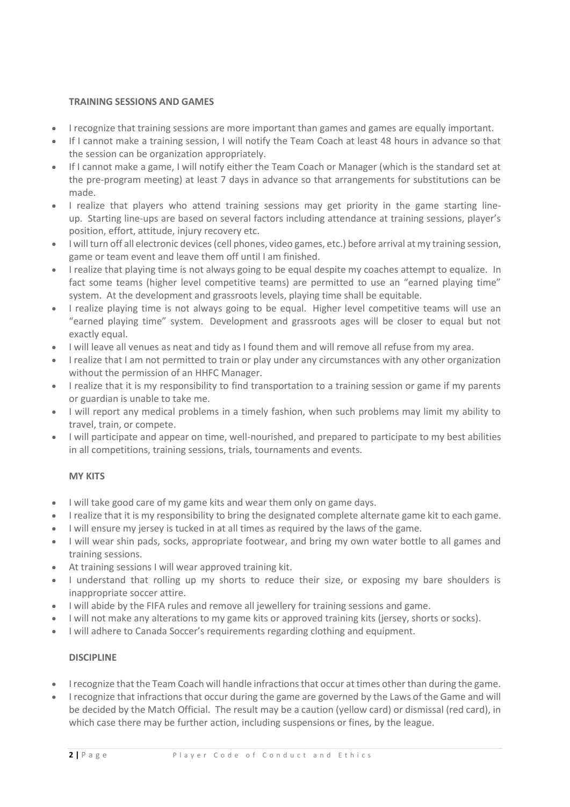### **TRAINING SESSIONS AND GAMES**

- I recognize that training sessions are more important than games and games are equally important.
- If I cannot make a training session, I will notify the Team Coach at least 48 hours in advance so that the session can be organization appropriately.
- If I cannot make a game, I will notify either the Team Coach or Manager (which is the standard set at the pre-program meeting) at least 7 days in advance so that arrangements for substitutions can be made.
- I realize that players who attend training sessions may get priority in the game starting lineup. Starting line-ups are based on several factors including attendance at training sessions, player's position, effort, attitude, injury recovery etc.
- I will turn off all electronic devices (cell phones, video games, etc.) before arrival at my training session, game or team event and leave them off until I am finished.
- I realize that playing time is not always going to be equal despite my coaches attempt to equalize. In fact some teams (higher level competitive teams) are permitted to use an "earned playing time" system. At the development and grassroots levels, playing time shall be equitable.
- I realize playing time is not always going to be equal. Higher level competitive teams will use an "earned playing time" system. Development and grassroots ages will be closer to equal but not exactly equal.
- I will leave all venues as neat and tidy as I found them and will remove all refuse from my area.
- I realize that I am not permitted to train or play under any circumstances with any other organization without the permission of an HHFC Manager.
- I realize that it is my responsibility to find transportation to a training session or game if my parents or guardian is unable to take me.
- I will report any medical problems in a timely fashion, when such problems may limit my ability to travel, train, or compete.
- I will participate and appear on time, well-nourished, and prepared to participate to my best abilities in all competitions, training sessions, trials, tournaments and events.

# **MY KITS**

- I will take good care of my game kits and wear them only on game days.
- I realize that it is my responsibility to bring the designated complete alternate game kit to each game.
- I will ensure my jersey is tucked in at all times as required by the laws of the game.
- I will wear shin pads, socks, appropriate footwear, and bring my own water bottle to all games and training sessions.
- At training sessions I will wear approved training kit.
- I understand that rolling up my shorts to reduce their size, or exposing my bare shoulders is inappropriate soccer attire.
- I will abide by the FIFA rules and remove all jewellery for training sessions and game.
- I will not make any alterations to my game kits or approved training kits (jersey, shorts or socks).
- I will adhere to Canada Soccer's requirements regarding clothing and equipment.

#### **DISCIPLINE**

- I recognize that the Team Coach will handle infractions that occur at times other than during the game.
- I recognize that infractions that occur during the game are governed by the Laws of the Game and will be decided by the Match Official. The result may be a caution (yellow card) or dismissal (red card), in which case there may be further action, including suspensions or fines, by the league.